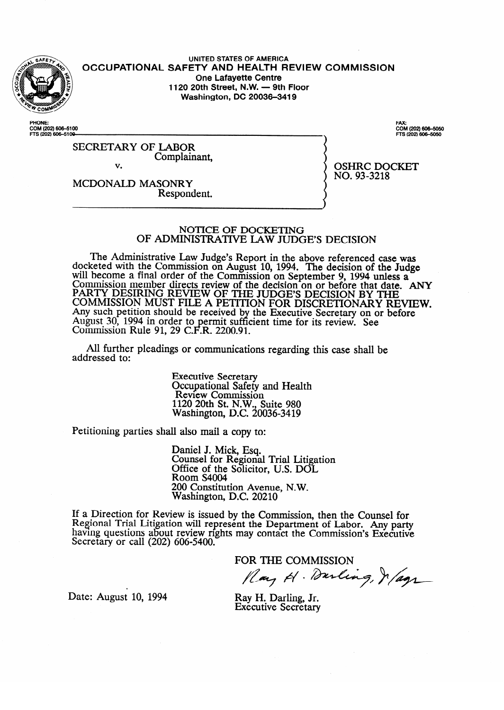

**UNITED STATES OF AMERICA OCCUPATIONAL SAFETY AND HEALTH REVIEW COMMISSION One Lafayette Centre<br>1120 20th Street, N.W. — 9th Floor 1120 20th Street, N.W. - 9th Floor Washington, DC 20036-3419** 

COM (202) 606-5100 FTS (202) 606-5100

**. zi (202)6o64cso** 

SECRETARY OF LABOR Complainant,

v.

 $NO. 93 - 3218$ no. 93

MCDONALD MASONRY<br>Respondent. Respondent.

#### NOTICE OF DOCKETING OF ADMINISTRATIVE LAW JUDGE'S DECISION

OF ADMINISTRATIVE MW JUDGE'S DECISION  $\chi$ eted with the Commission on August 10, 1994. The decision of the Judge will become a final order of the Commission on September 9, 1994 unless a Commission member directs review of the decision on or before that date. PART I DESIRING REVIEW OF THE JUDGE'S DECISION BY THE<br>COMMISSION MUST FILE A PETITION FOR BISORETONARY RELETING. COMMISSION MUST FILE A PETITION FOR DISCRETIONARY RE Any such petition should be received by the Executive Secretary on or before August 50, 1994 III order to permit suff.<br>Commission Bule 01, 20 C E B, 2200.01 COMMISSION NUIT 91, 29 C.F.N.  $2200.91$ the Executive Secretary Secretary on the Executive Secretary of the Executive Secretary of the Secretary of Secretary of the Secretary Secretary Secretary of the Secretary of the Secretary Secretary Secretary Secretary Sec lcient time for its review. See the form of the see that the see that the see that the see that the see that the see that the see that the see that the see that the see that the see that the see that the see that the see t

All further pleadings or communication  $A$ l further pleadings or communications regarding the communications regarding the case shall be shall be shall be shall be shall be shall be shall be shall be shall be shall be shall be shall be shall be shall be shall

> **Executive Secretary** Review Commissio  $1120$  20th St. N.W., Suite 980 Nashington, D.C. 20 1120 20th St. N.W., Suite 980

Petitioning parties shall also mail a copy to:

Daniel J. Mick, Esq.<br>Counsel for Regional Trial Litigation Office of the Solicitor, U.S. DOL Room S4004 200 Constitution Avenue, N.W. Washington, D.C. 20210

 $2000$  Constitution Avenue, N.W.  $ew$  is issued by the Com having questions about review rights may contact the Commission's Executive Secretary or call  $(202)$  606-5400.

FOR THE COMMISSION Play H. Durling, Je/agr

Date: August 10, 1994

Ray H. Darling, Jr. **Executive Secretary**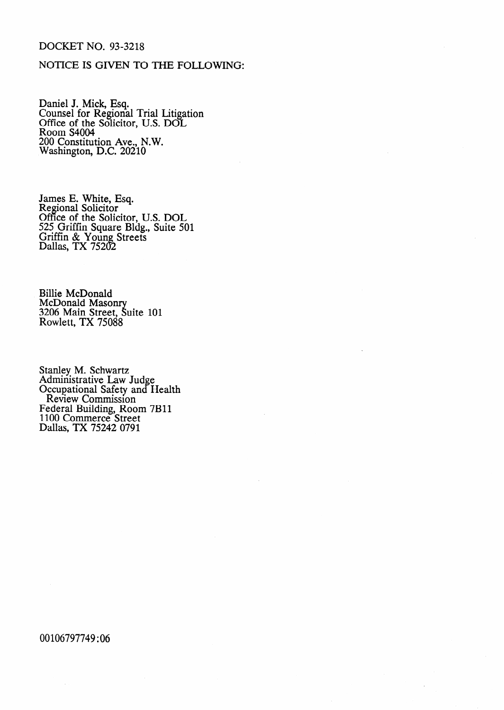# DOCKET NO. 93-3218

# NOTICE IS GIVEN TO THE FOLLOWING:

Daniel J. Mick, Esq. Counsel for Regional Trial Litigation Office of the Solicitor, U.S. DOI Room S4004 200 Constitution Ave., N.W. Washington, D.C. 20210

James E. White, Esq. Regional Solicitor Office of the Solicitor, U.S. DOL 525 Griffin Square Bldg., Suite 501 Griffin & Young Streets Dallas, TX 75202

Billie McDonald McDonald Maso 3206 Main Street, Suite 101 Rowlett, TX 75088

Stanley M. Schwartz Administrative Law Jud Occupational Safety and e Health Review Commission Federal Building, Room 7B1. 1100 Commerce Street Dallas, TX 75242 0791

00106797749 : 06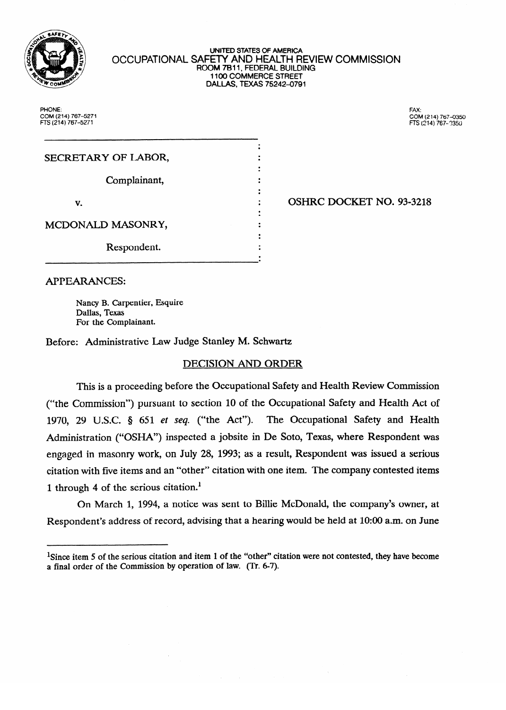

#### **lJNlTED STATES OF AMERICA**  OCCUPATIONAL SAFETY AND HEALTH REVIEW COMMISSION **ROOM 7811, FEDERAL BUILDING 1100 COMMERCE STREET DALLAS, TEXAS 752424791**

**PHONE: PHONE: FAX: COM (214) 767-5271 COhA (214) 767-0350** 

FAX-

| SECRETARY OF LABOR, |  |
|---------------------|--|
|                     |  |
| Complainant,        |  |
|                     |  |
| v.                  |  |
|                     |  |
| MCDONALD MASONRY,   |  |
|                     |  |
| Respondent.         |  |
|                     |  |

OSHRC DOCKET NO. 93-3218 . OSHRC DOCmT NO. 93-3218

**APPEARANCES:** 

Nancy B. Carpentier, Esquire Dallas, Texas For the Complainant.

Before: Administrative Law Judge Stanley M. Schwartz

# DECISION AND ORDER

This is a proceeding before the Occupational Safety and Health Review Commission ("the Commission") pursuant to section 10 of the Occupational Safety and Health Act of 1970, 29 U.S.C.  $\S$  651 et seq. ("the Act"). The Occupational Safety and Health Administration ("OSHA") inspected a jobsite in De Soto, Texas, where Respondent was engaged in masonry work, on July 28, 1993; as a result, Respondent was issued a serious citation with five items and an "other" citation with one item. The company contested items 1 through 4 of the serious citation.<sup>1</sup>

On March 1, 1994, a notice was sent to Billie McDonald, the company's owner, at Respondent's address of record, advising that a hearing would be held at 10:00 a.m. on June

Respondent's address of record, advising that a hearing would be held at 1O:OO a.m. on June

<sup>&</sup>lt;sup>1</sup>Since item 5 of the serious citation and item 1 of the "other" citation were not contested, they have become a final order of the Commission by operation of law. (Tr. 6-7).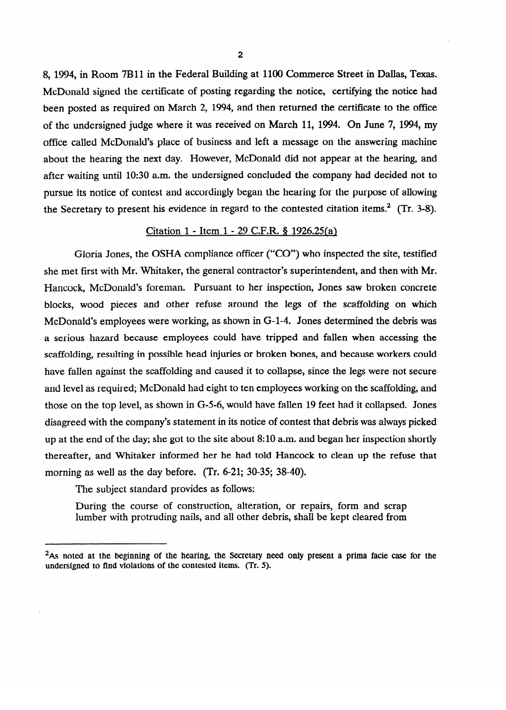8, 1994, in Room 7Bll in the Federal Building at 1100 Commerce Street in Dallas, Texas. McDonald signed the certificate of posting regarding the notice, certifying the notice had been posted as required on March 2, 1994, and then returned the certificate to the office of the undersigned judge where it was received on March 11, 1994. On June 7, 1994, my office called McDonald's place of business and left a message on the answering machine about the hearing the next day. However, McDonald did not appear at the hearing, and after waiting until 10:30 a.m. the undersigned concluded the company had decided not to pursue its notice of contest and accordingly began the hearing for the purpose of allowing the Secretary to present his evidence in regard to the contested citation items.<sup>2</sup> (Tr. 3-8).  $\mathcal{S}$  secretary to present his evidence in regard to the contest citation in regard to the contest citation is evidence in  $\mathcal{S}$ .

### Citation 1 - Item 1 - 29 C.F.R. § 1926.25(a)

Gloria Jones, the OSHA compliance officer ("CO") who inspected the site, testified she met first with Mr. Whitaker, the general contractor's superintendent, and then with Mr. Hancock, McDonald's foreman. Pursuant to her inspection, Jones saw broken concrete blocks, wood pieces and other refuse around the legs of the scaffolding on which McDonald's employees were working, as shown in G-1-4. Jones determined the debris was a serious hazard because employees could have tripped and fallen when accessing the scaffolding, resulting in possible head injuries or broken bones, and because workers could have fallen against the scaffolding and caused it to collapse, since the legs were not secure and level as required; McDonald had eight to ten employees working on the scaffolding, and those on the top level, as shown in  $G-5-6$ , would have fallen 19 feet had it collapsed. Jones disagreed with the company's statement in its notice of contest that debris was always picked up at the end of the day; she got to the site about  $8:10$  a.m. and began her inspection shortly the reafter, and Whitaker informed her he had told Hancock to clean up the refuse that morning as well as the day before. (Tr. 6-21; 30-35; 38-40).

The subject standard provides as follows:

During the course of construction, alteration, or repairs, form and scrap lumber with protruding nails, and all other debris, shall be kept cleared from During the course of construction, alteration, or repairs, form and scrap

<sup>&</sup>lt;sup>2</sup>As noted at the beginning of the hearing, the Secretary need only present a prima facie case for the undersigned to find violations of the contested items. (Tr. 5).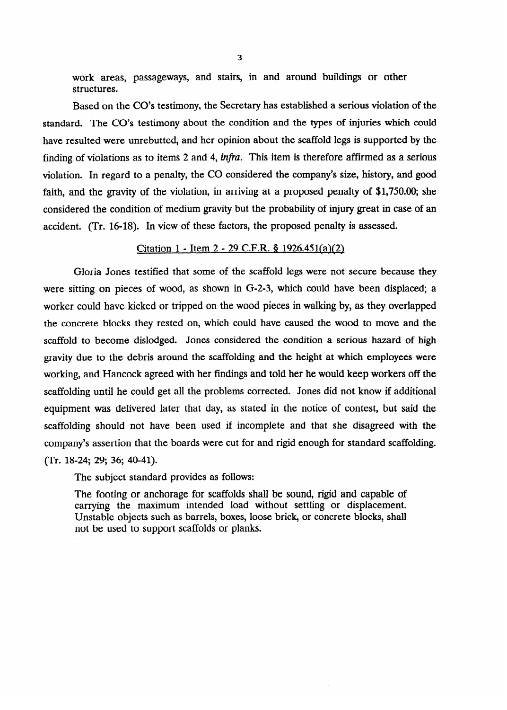work areas, passageways, and stairs, in and around buildings or other structures.

Based on the CO's testimony, the Secretary has established a serious violation of the standard. The CO's testimony about the condition and the types of injuries which could have resulted were unrebutted, and her opinion about the scaffold legs is supported by the finding of violations as to items 2 and 4, *infia.* This item is therefore affirmed as a serious violation. In regard to a penalty, the CO considered the company's size, history, and good faith, and the gravity of the violation, in arriving at a proposed penalty of \$1,750.00; she considered the condition of medium gravity but the probability of injury great in case of an accident. (Tr. 16-18). In view of these factors, the proposed penalty is assessed.

#### Citation  $1 -$  Item  $2 - 29$  C.F.R. § 1926.451(a)(2)

Gloria Jones testified that some of the scaffold legs were not secure because they were sitting on pieces of wood, as shown in G-2-3, which could have been displaced; a worker could have kicked or tripped on the wood pieces in walking by, as they overlapped the concrete blocks they rested on, which could have caused the wood to move and the scaffold to become dislodged. Jones considered the condition a serious hazard of high gravity due to the debris around the scaffolding and the height at which employees were<br>working, and Hancock agreed with her findings and told her he would keep workers off the scaffolding until he could get all the problems corrected. Jones did not know if additional equipment was delivered later that day, as stated in the notice of contest, but said the scaffolding should not have been used if incomplete and that she disagreed with the company's assertion that the boards were cut for and rigid enough for standard scaffolding. company's assertion that the boards were cut for an operation that the boards were cut for standard scaffolding.

The subject standard provides as follows:

The footing or anchorage for scaffolds shall be sound, rigid and capable of carrying the maximum intended load without settling or displacement. Unstable objects such as barrels, boxes, loose brick, or concrete blocks, shall not be used to support scaffolds or planks.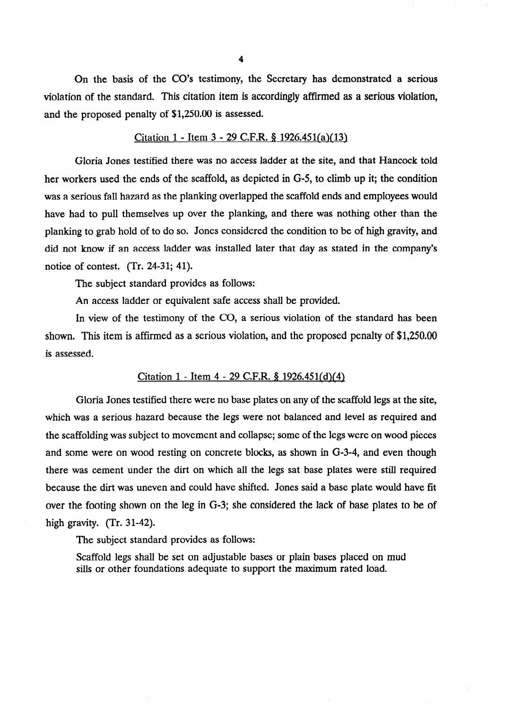On the basis of the CO's testimony, the Secretary has demonstrated a serious violation of the standard. This citation item is accordingly affirmed as a serious violation, and the proposed penalty of \$1,250.00 is assessed.

### Citation  $1 -$  Item  $3 - 29$  C.F.R. § 1926.451(a)(13)

Gloria Jones testified there was no access ladder at the site, and that Hancock told her workers used the ends of the scaffold, as depicted in G-5, to climb up it; the condition was a serious fall hazard as the planking overlapped the scaffold ends and employees would have had to pull themselves up over the planking, and there was nothing other than the planking to grab hold of to do so. Jones considered the condition to be of high gravity, and did not know if an access ladder was installed later that day as stated in the company's notice of contest. (Tr. 24-31; 41).

The subject standard provides as follows:

An access ladder or equivalent safe access shall be provided.

In view of the testimony of the CO, a serious violation of the standard has been shown. This item is affirmed as a serious violation, and the proposed penalty of \$1,250.00 is assessed.

# Citation 1 - Item 4 - 29 C.F.R. § 1926.451(d)(4)

Gloria Jones testified there were no base plates on any of the scaffold legs at the site, which was a serious hazard because the legs were not balanced and level as required and the scaffolding was subject to movement and collapse; some of the legs were on wood pieces and some were on wood resting on concrete blocks, as shown in G-3-4, and even though there was cement under the dirt on which all the legs sat base plates were still required because the dirt was uneven and could have shifted. Jones said a base plate would have fit over the footing shown on the leg in G-3; she considered the lack of base plates to be of high gravity. (Tr. 31-42).

The subject standard provides as follows:

Scaffold legs shall be set on adjustable bases or plain bases placed on mud sills or other foundations adequate to support the maximum rated load.